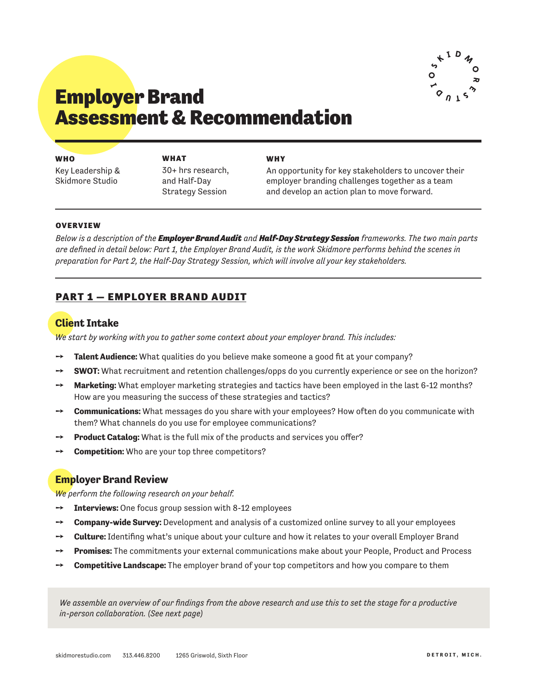

# Employer Brand Assessment & Recommendation

| WHO        |  |  |  |
|------------|--|--|--|
| Key Leader |  |  |  |

Key Leadership & Skidmore Studio

**WHAT** 30+ hrs research, and Half-Day Strategy Session

#### **WHY**

An opportunity for key stakeholders to uncover their employer branding challenges together as a team and develop an action plan to move forward.

#### OVERVIEW

*Below is a description of the Employer Brand Audit and Half-Day Strategy Session frameworks. The two main parts are defined in detail below: Part 1, the Employer Brand Audit, is the work Skidmore performs behind the scenes in preparation for Part 2, the Half-Day Strategy Session, which will involve all your key stakeholders.*

## PART 1 — EMPLOYER BRAND AUDIT

## **Client Intake**

*We start by working with you to gather some context about your employer brand. This includes:*

- → **Talent Audience:** What qualities do you believe make someone a good fit at your company?
- → **SWOT:** What recruitment and retention challenges/opps do you currently experience or see on the horizon?
- → **Marketing:** What employer marketing strategies and tactics have been employed in the last 6-12 months? How are you measuring the success of these strategies and tactics?
- ➙ **Communications:** What messages do you share with your employees? How often do you communicate with them? What channels do you use for employee communications?
- **Product Catalog:** What is the full mix of the products and services you offer?
- **Competition:** Who are your top three competitors?

## **Employer Brand Review**

*We perform the following research on your behalf.*

- ➙ **Interviews:** One focus group session with 8-12 employees
- ➙ **Company-wide Survey:** Development and analysis of a customized online survey to all your employees
- ➙ **Culture:** Identifing what's unique about your culture and how it relates to your overall Employer Brand
- ➙ **Promises:** The commitments your external communications make about your People, Product and Process
- ➙ **Competitive Landscape:** The employer brand of your top competitors and how you compare to them

*We assemble an overview of our findings from the above research and use this to set the stage for a productive in-person collaboration. (See next page)*